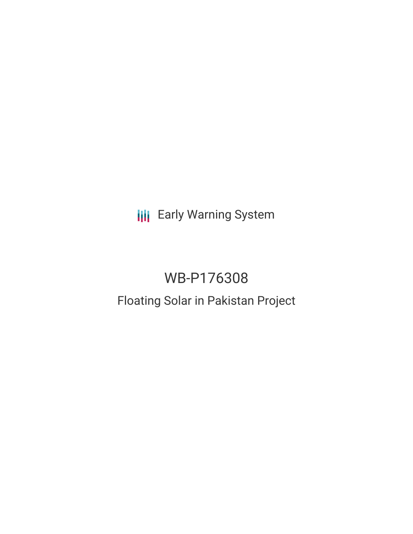**III** Early Warning System

# WB-P176308

# Floating Solar in Pakistan Project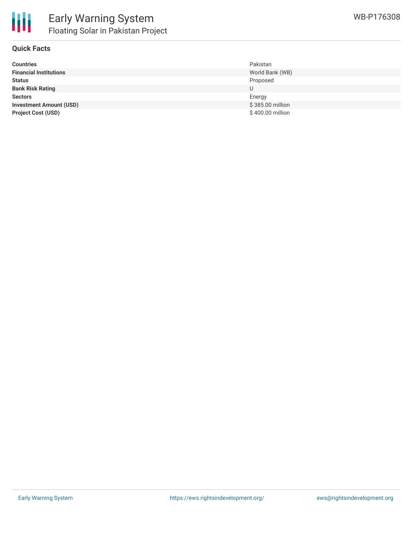

### **Quick Facts**

| <b>Countries</b>               | Pakistan         |
|--------------------------------|------------------|
| <b>Financial Institutions</b>  | World Bank (WB)  |
| <b>Status</b>                  | Proposed         |
| <b>Bank Risk Rating</b>        | U                |
| <b>Sectors</b>                 | Energy           |
| <b>Investment Amount (USD)</b> | \$385.00 million |
| <b>Project Cost (USD)</b>      | \$400.00 million |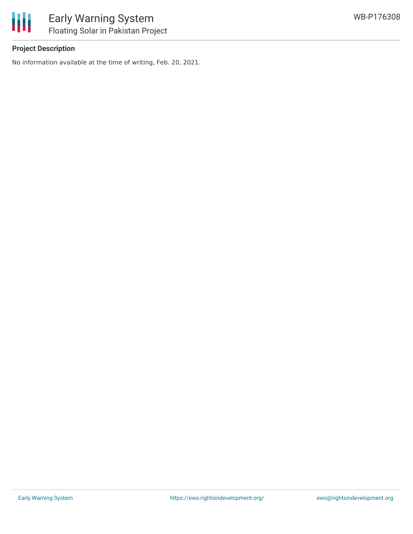

## **Project Description**

No information available at the time of writing, Feb. 20, 2021.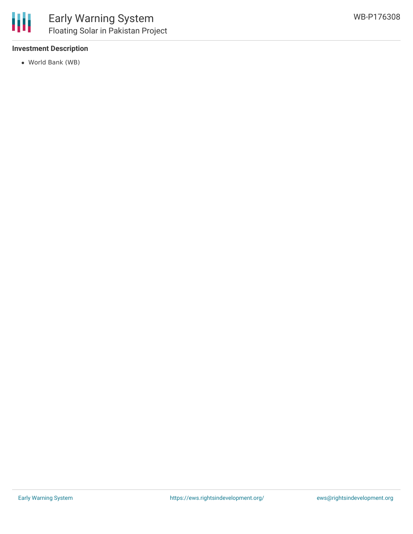### **Investment Description**

World Bank (WB)